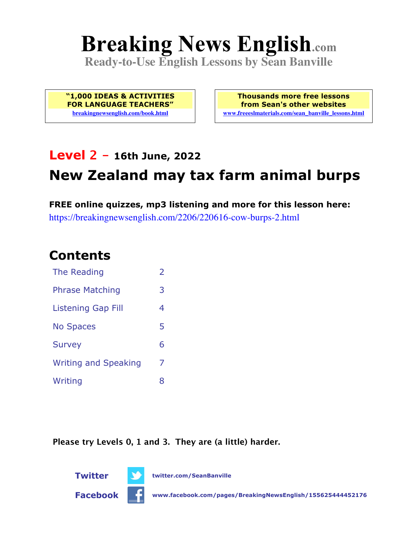# **Breaking News English.com**

**Ready-to-Use English Lessons by Sean Banville**

**"1,000 IDEAS & ACTIVITIES FOR LANGUAGE TEACHERS" breakingnewsenglish.com/book.html**

**Thousands more free lessons from Sean's other websites www.freeeslmaterials.com/sean\_banville\_lessons.html**

# **Level 2 - 16th June, 2022**

# **New Zealand may tax farm animal burps**

**FREE online quizzes, mp3 listening and more for this lesson here:** https://breakingnewsenglish.com/2206/220616-cow-burps-2.html

### **Contents**

| The Reading                 | $\overline{2}$ |
|-----------------------------|----------------|
| <b>Phrase Matching</b>      | 3              |
| <b>Listening Gap Fill</b>   | 4              |
| <b>No Spaces</b>            | 5              |
| <b>Survey</b>               | 6              |
| <b>Writing and Speaking</b> | 7              |
| Writing                     | 8              |

**Please try Levels 0, 1 and 3. They are (a little) harder.**



**Twitter twitter.com/SeanBanville**

**Facebook www.facebook.com/pages/BreakingNewsEnglish/155625444452176**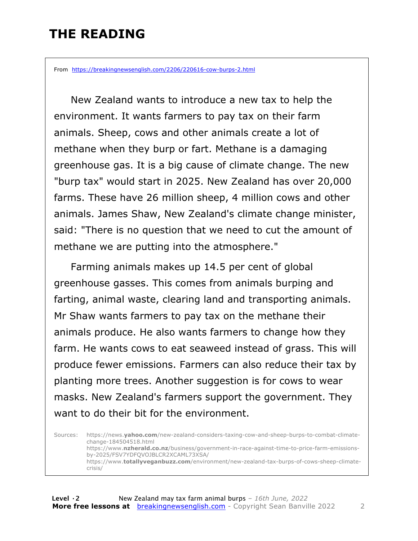### **THE READING**

From https://breakingnewsenglish.com/2206/220616-cow-burps-2.html

 New Zealand wants to introduce a new tax to help the environment. It wants farmers to pay tax on their farm animals. Sheep, cows and other animals create a lot of methane when they burp or fart. Methane is a damaging greenhouse gas. It is a big cause of climate change. The new "burp tax" would start in 2025. New Zealand has over 20,000 farms. These have 26 million sheep, 4 million cows and other animals. James Shaw, New Zealand's climate change minister, said: "There is no question that we need to cut the amount of methane we are putting into the atmosphere."

Farming animals makes up 14.5 per cent of global greenhouse gasses. This comes from animals burping and farting, animal waste, clearing land and transporting animals. Mr Shaw wants farmers to pay tax on the methane their animals produce. He also wants farmers to change how they farm. He wants cows to eat seaweed instead of grass. This will produce fewer emissions. Farmers can also reduce their tax by planting more trees. Another suggestion is for cows to wear masks. New Zealand's farmers support the government. They want to do their bit for the environment.

Sources: https://news.**yahoo.com**/new-zealand-considers-taxing-cow-and-sheep-burps-to-combat-climatechange-184504518.html https://www.**nzherald.co.nz**/business/government-in-race-against-time-to-price-farm-emissionsby-2025/FSV7YDFQVOJBLCR2XCAML73XSA/ https://www.**totallyveganbuzz.com**/environment/new-zealand-tax-burps-of-cows-sheep-climatecrisis/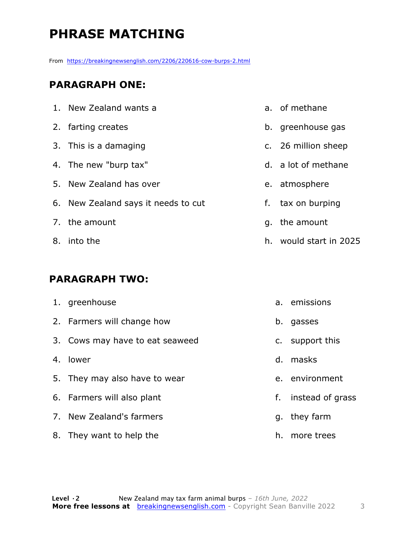# **PHRASE MATCHING**

From https://breakingnewsenglish.com/2206/220616-cow-burps-2.html

#### **PARAGRAPH ONE:**

| 1. New Zealand wants a              |
|-------------------------------------|
| 2. farting creates                  |
| 3. This is a damaging               |
| 4. The new "burp tax"               |
| 5. New Zealand has over             |
| 6. New Zealand says it needs to cut |
| 7. the amount                       |
| 8. into the                         |

#### **PARAGRAPH TWO:**

| 1. greenhouse                   |    | a. emissions     |
|---------------------------------|----|------------------|
| 2. Farmers will change how      | b. | gasses           |
| 3. Cows may have to eat seaweed |    | c. support this  |
| 4. lower                        | d. | masks            |
| 5. They may also have to wear   |    | e. environment   |
| 6. Farmers will also plant      | f. | instead of grass |
| 7. New Zealand's farmers        |    | g. they farm     |
| 8. They want to help the        |    | h. more trees    |

- a. of methane
- b. greenhouse gas
- c. 26 million sheep
- d. a lot of methane
- e. atmosphere
- f. tax on burping
- g. the amount
- h. would start in 2025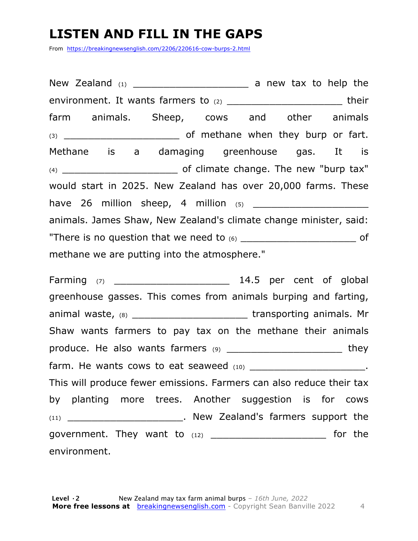# **LISTEN AND FILL IN THE GAPS**

From https://breakingnewsenglish.com/2206/220616-cow-burps-2.html

New Zealand  $(1)$   $(2)$  a new tax to help the environment. It wants farmers to (2) \_\_\_\_\_\_\_\_\_\_\_\_\_\_\_\_\_\_\_\_\_\_\_\_\_\_\_\_their farm animals. Sheep, cows and other animals (3) \_\_\_\_\_\_\_\_\_\_\_\_\_\_\_\_\_\_\_ of methane when they burp or fart. Methane is a damaging greenhouse gas. It is (4) \_\_\_\_\_\_\_\_\_\_\_\_\_\_\_\_\_\_\_ of climate change. The new "burp tax" would start in 2025. New Zealand has over 20,000 farms. These have 26 million sheep, 4 million (5) \_\_\_\_\_\_\_\_\_\_\_\_\_\_\_\_\_\_\_ animals. James Shaw, New Zealand's climate change minister, said: "There is no question that we need to (6) \_\_\_\_\_\_\_\_\_\_\_\_\_\_\_\_\_\_\_ of methane we are putting into the atmosphere."

Farming (7) \_\_\_\_\_\_\_\_\_\_\_\_\_\_\_\_\_\_\_ 14.5 per cent of global greenhouse gasses. This comes from animals burping and farting, animal waste, (8) \_\_\_\_\_\_\_\_\_\_\_\_\_\_\_\_\_\_\_\_\_\_\_\_\_\_transporting animals. Mr Shaw wants farmers to pay tax on the methane their animals produce. He also wants farmers  $(9)$  \_\_\_\_\_\_\_\_\_\_\_\_\_\_\_\_\_\_\_\_\_\_\_\_\_\_\_\_\_\_they farm. He wants cows to eat seaweed  $(10)$  \_\_\_\_\_\_\_\_\_\_\_\_\_\_\_\_\_\_\_\_\_\_\_. This will produce fewer emissions. Farmers can also reduce their tax by planting more trees. Another suggestion is for cows (11) \_\_\_\_\_\_\_\_\_\_\_\_\_\_\_\_\_\_\_. New Zealand's farmers support the government. They want to  $(12)$  \_\_\_\_\_\_\_\_\_\_\_\_\_\_\_\_\_\_\_\_\_\_\_\_\_\_\_\_\_\_\_ for the environment.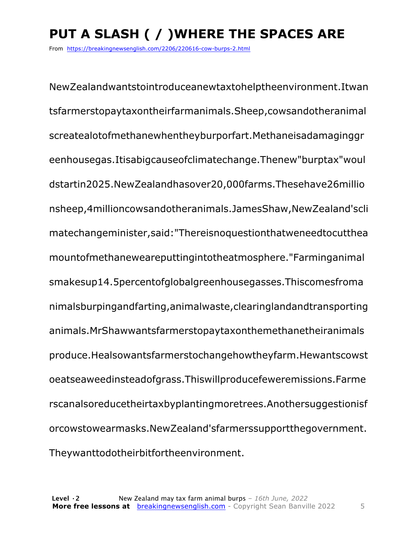# **PUT A SLASH ( / )WHERE THE SPACES ARE**

From https://breakingnewsenglish.com/2206/220616-cow-burps-2.html

NewZealandwantstointroduceanewtaxtohelptheenvironment.Itwan tsfarmerstopaytaxontheirfarmanimals.Sheep,cowsandotheranimal screatealotofmethanewhentheyburporfart.Methaneisadamaginggr eenhousegas.Itisabigcauseofclimatechange.Thenew"burptax"woul dstartin2025.NewZealandhasover20,000farms.Thesehave26millio nsheep,4millioncowsandotheranimals.JamesShaw,NewZealand'scli matechangeminister,said:"Thereisnoquestionthatweneedtocutthea mountofmethaneweareputtingintotheatmosphere."Farminganimal smakesup14.5percentofglobalgreenhousegasses.Thiscomesfroma nimalsburpingandfarting,animalwaste,clearinglandandtransporting animals.MrShawwantsfarmerstopaytaxonthemethanetheiranimals produce.Healsowantsfarmerstochangehowtheyfarm.Hewantscowst oeatseaweedinsteadofgrass.Thiswillproducefeweremissions.Farme rscanalsoreducetheirtaxbyplantingmoretrees.Anothersuggestionisf orcowstowearmasks.NewZealand'sfarmerssupportthegovernment. Theywanttodotheirbitfortheenvironment.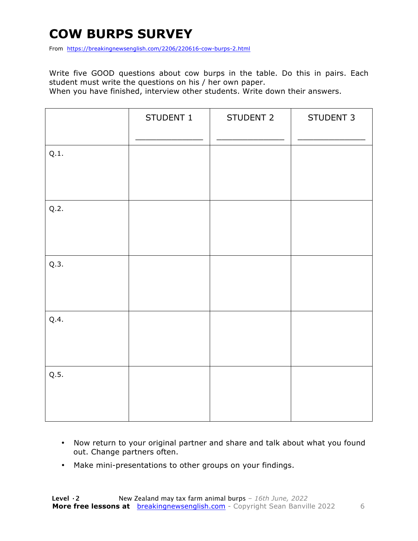# **COW BURPS SURVEY**

From https://breakingnewsenglish.com/2206/220616-cow-burps-2.html

Write five GOOD questions about cow burps in the table. Do this in pairs. Each student must write the questions on his / her own paper.

When you have finished, interview other students. Write down their answers.

|      | STUDENT 1 | STUDENT 2 | STUDENT 3 |
|------|-----------|-----------|-----------|
| Q.1. |           |           |           |
| Q.2. |           |           |           |
| Q.3. |           |           |           |
| Q.4. |           |           |           |
| Q.5. |           |           |           |

- Now return to your original partner and share and talk about what you found out. Change partners often.
- Make mini-presentations to other groups on your findings.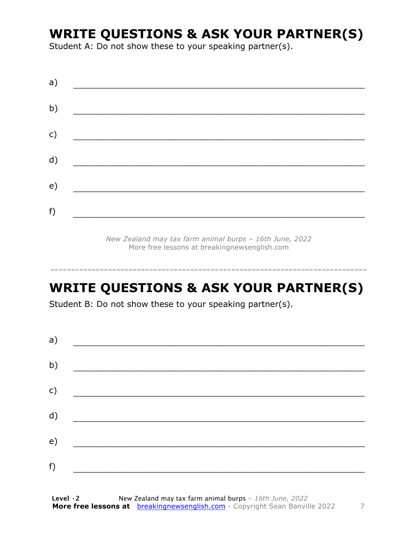### **WRITE QUESTIONS & ASK YOUR PARTNER(S)**

Student A: Do not show these to your speaking partner(s).

| a)            |  |  |
|---------------|--|--|
| b)            |  |  |
| $\mathsf{c})$ |  |  |
| d)            |  |  |
| e)            |  |  |
| f)            |  |  |

*New Zealand may tax farm animal burps – 16th June, 2022* More free lessons at breakingnewsenglish.com

# **WRITE QUESTIONS & ASK YOUR PARTNER(S)**

-----------------------------------------------------------------------------

Student B: Do not show these to your speaking partner(s).

| a) |  |  |
|----|--|--|
| b) |  |  |
| c) |  |  |
| d) |  |  |
| e) |  |  |
| f) |  |  |
|    |  |  |